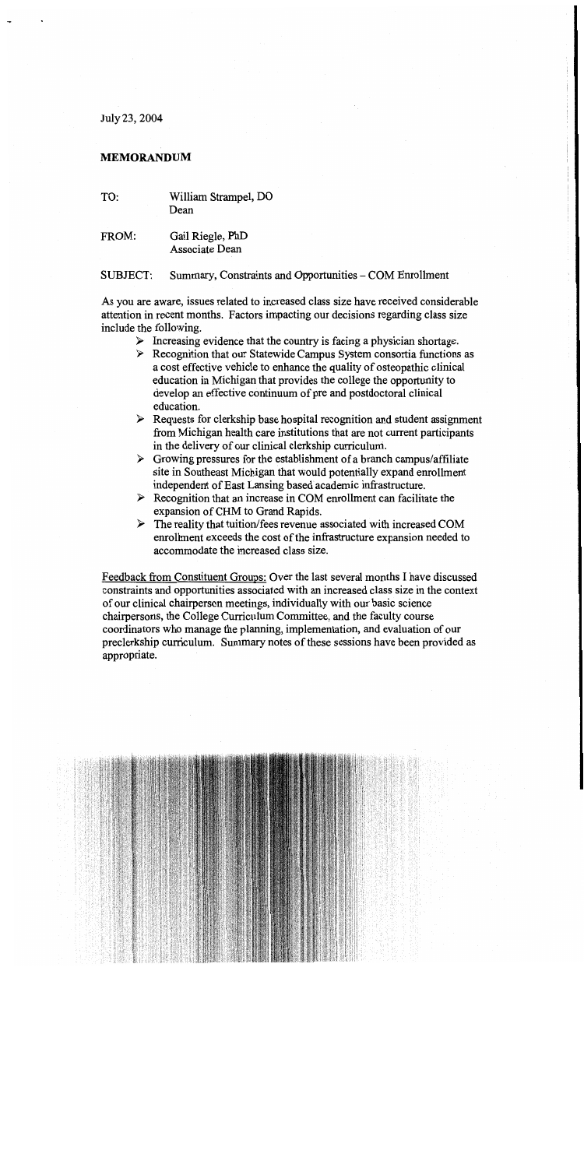July 23, 2004

## **MEMORANDUM**

- TO: William Strampel, DO Dean
- FROM: Gail Riegle, PhD Associate Dean

Summary, Constraints and Opportunities – COM Enrollment SUBJECT:

As you are aware, issues related to increased class size have received considerable attention in recent months. Factors impacting our decisions regarding class size include the following.

- $\triangleright$  Increasing evidence that the country is facing a physician shortage.
- $\triangleright$  Recognition that our Statewide Campus System consortia functions as a cost effective vehicle to enhance the quality of osteopathic clinical education in Michigan that provides the college the opportunity to develop an effective continuum of pre and postdoctoral clinical education.
- $\triangleright$  Requests for clerkship base hospital recognition and student assignment from Michigan health care institutions that are not current participants in the delivery of our clinical clerkship curriculum.
- $\triangleright$  Growing pressures for the establishment of a branch campus/affiliate site in Southeast Michigan that would potentially expand enrollment independent of East Lansing based academic infrastructure.
- $\triangleright$  Recognition that an increase in COM enrollment can facilitate the expansion of CHM to Grand Rapids.
- $\triangleright$  The reality that tuition/fees revenue associated with increased COM enrollment exceeds the cost of the infrastructure expansion needed to accommodate the increased class size.

Feedback from Constituent Groups: Over the last several months I have discussed constraints and opportunities associated with an increased class size in the context of our clinical chairperson meetings, individually with our basic science chairpersons, the College Curriculum Committee, and the faculty course coordinators who manage the planning, implementation, and evaluation of our preclerkship curriculum. Summary notes of these sessions have been provided as appropriate.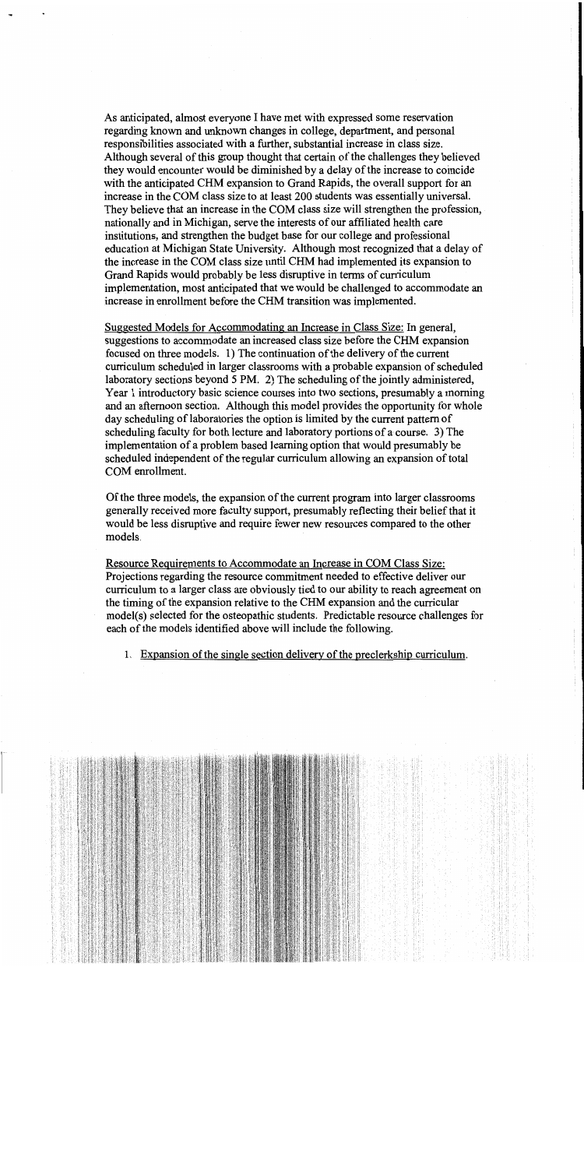As anticipated, almost everyone I have met with expressed some reservation regarding known and unknown changes in college, department, and personal responsibilities associated with a further, substantial increase in class size. Although several of this group thought that certain of the challenges they believed they would encounter would be diminished by a delay of the increase to coincide with the anticipated CHM expansion to Grand Rapids, the overall support for an increase in the COM class size to at least 200 students was essentially universal. They believe that an increase in the COM class size will strengthen the profession, nationally and in Michigan, serve the interests of our affiliated health care institutions, and strengthen the budget base for our college and professional education at Michigan State University. Although most recognized that a delay of the increase in the COM class size until CHM had implemented its expansion to Grand Rapids would probably be less disruptive in terms of curriculum implementation, most anticipated that we would be challenged to accommodate an increase in enrollment before the CHM transition was implemented.

Suggested Models for Accommodating an Increase in Class Size: In general, suggestions to accommodate an increased class size before the CHM expansion focused on three models. 1) The continuation of the delivery of the current curriculum scheduled in larger classrooms with a probable expansion of scheduled laboratory sections beyond 5 PM. 2) The scheduling of the jointly administered, Year 1 introductory basic science courses into two sections, presumably a morning and an afternoon section. Although this model provides the opportunity for whole day scheduling of laboratories the option is limited by the current pattern of scheduling faculty for both lecture and laboratory portions of a course. 3) The implementation of a problem based learning option that would presumably be scheduled independent of the regular curriculum allowing an expansion of total COM enrollment.

Of the three models, the expansion of the current program into larger classrooms generally received more faculty support, presumably reflecting their belief that it would be less disruptive and require fewer new resources compared to the other models.

Resource Requirements to Accommodate an Increase in COM Class Size: Projections regarding the resource commitment needed to effective deliver our curriculum to a larger class are obviously tied to our ability to reach agreement on the timing of the expansion relative to the CHM expansion and the curricular model(s) selected for the osteopathic students. Predictable resource challenges for each of the models identified above will include the following.

1. Expansion of the single section delivery of the preclerkship curriculum.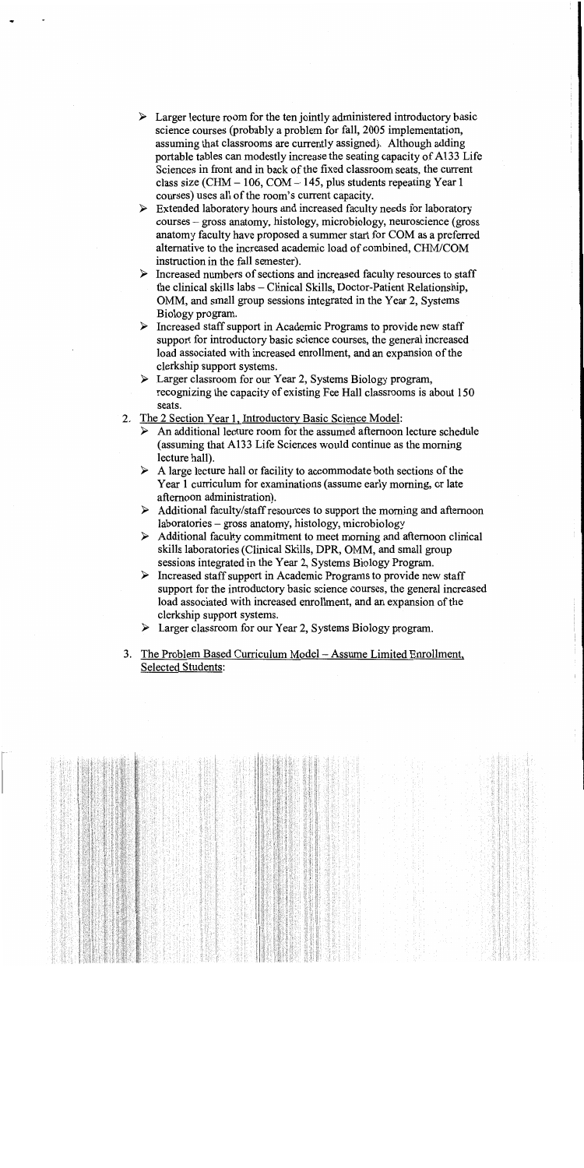- $\triangleright$  Larger lecture room for the ten jointly administered introductory basic science courses (probably a problem for fall, 2005 implementation, assuming that classrooms are currently assigned). Although adding portable tables can modestly increase the seating capacity of A133 Life Sciences in front and in back of the fixed classroom seats, the current class size (CHM  $-$  106, COM  $-$  145, plus students repeating Year 1 courses) uses all of the room's current capacity.
- $\triangleright$  Extended laboratory hours and increased faculty needs for laboratory courses – gross anatomy, histology, microbiology, neuroscience (gross) anatomy faculty have proposed a summer start for COM as a preferred alternative to the increased academic load of combined, CHM/COM instruction in the fall semester).
- $\triangleright$  Increased numbers of sections and increased faculty resources to staff the clinical skills labs - Clinical Skills, Doctor-Patient Relationship, OMM, and small group sessions integrated in the Year 2, Systems Biology program.
- $\triangleright$  Increased staff support in Academic Programs to provide new staff support for introductory basic science courses, the general increased load associated with increased enrollment, and an expansion of the clerkship support systems.
- > Larger classroom for our Year 2, Systems Biology program, recognizing the capacity of existing Fee Hall classrooms is about 150 seats.
- 2. The 2 Section Year 1, Introductory Basic Science Model:
	- $\triangleright$  An additional lecture room for the assumed afternoon lecture schedule (assuming that A133 Life Sciences would continue as the morning lecture hall).
	- $\triangleright$  A large lecture hall or facility to accommodate both sections of the Year 1 curriculum for examinations (assume early morning, or late afternoon administration).
	- $\triangleright$  Additional faculty/staff resources to support the morning and afternoon laboratories – gross anatomy, histology, microbiology
	- $\triangleright$  Additional faculty commitment to meet morning and afternoon clinical skills laboratories (Clinical Skills, DPR, OMM, and small group sessions integrated in the Year 2, Systems Biology Program.
	- $\triangleright$  Increased staff support in Academic Programs to provide new staff support for the introductory basic science courses, the general increased load associated with increased enrollment, and an expansion of the clerkship support systems.
	- $\triangleright$  Larger classroom for our Year 2, Systems Biology program.
- 3. The Problem Based Curriculum Model Assume Limited Enrollment, **Selected Students:**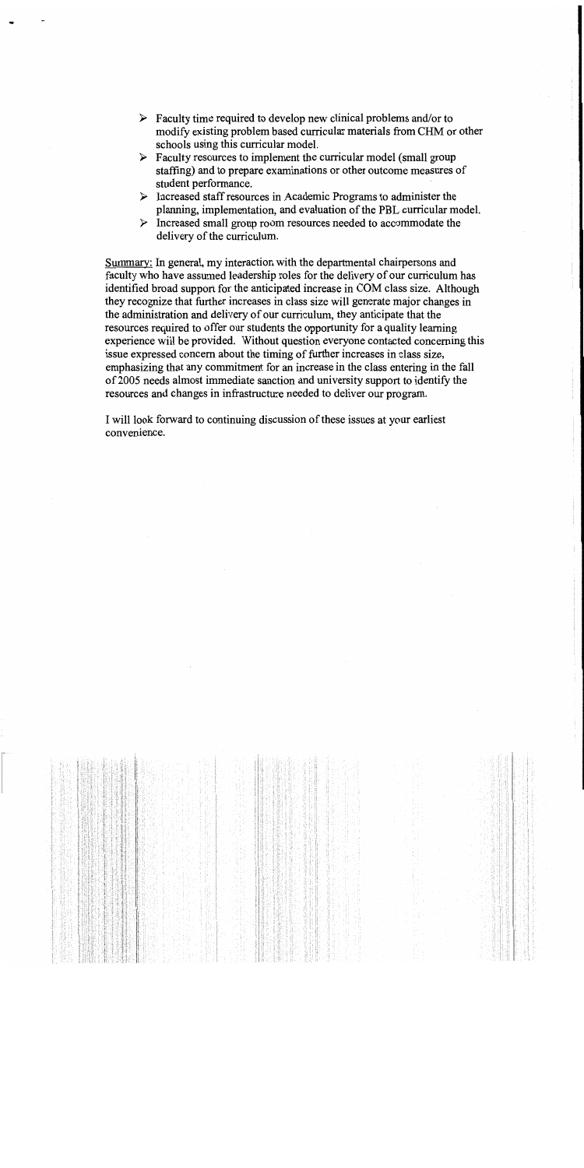- $\triangleright$  Faculty time required to develop new clinical problems and/or to modify existing problem based curricular materials from CHM or other schools using this curricular model.
- $\triangleright$  Faculty resources to implement the curricular model (small group staffing) and to prepare examinations or other outcome measures of student performance.
- $\triangleright$  Increased staff resources in Academic Programs to administer the planning, implementation, and evaluation of the PBL curricular model.
- $\triangleright$  Increased small group room resources needed to accommodate the delivery of the curriculum.

Summary: In general, my interaction with the departmental chairpersons and faculty who have assumed leadership roles for the delivery of our curriculum has identified broad support for the anticipated increase in COM class size. Although they recognize that further increases in class size will generate major changes in the administration and delivery of our curriculum, they anticipate that the resources required to offer our students the opportunity for a quality learning experience will be provided. Without question everyone contacted concerning this issue expressed concern about the timing of further increases in class size, emphasizing that any commitment for an increase in the class entering in the fall of 2005 needs almost immediate sanction and university support to identify the resources and changes in infrastructure needed to deliver our program.

I will look forward to continuing discussion of these issues at your earliest convenience.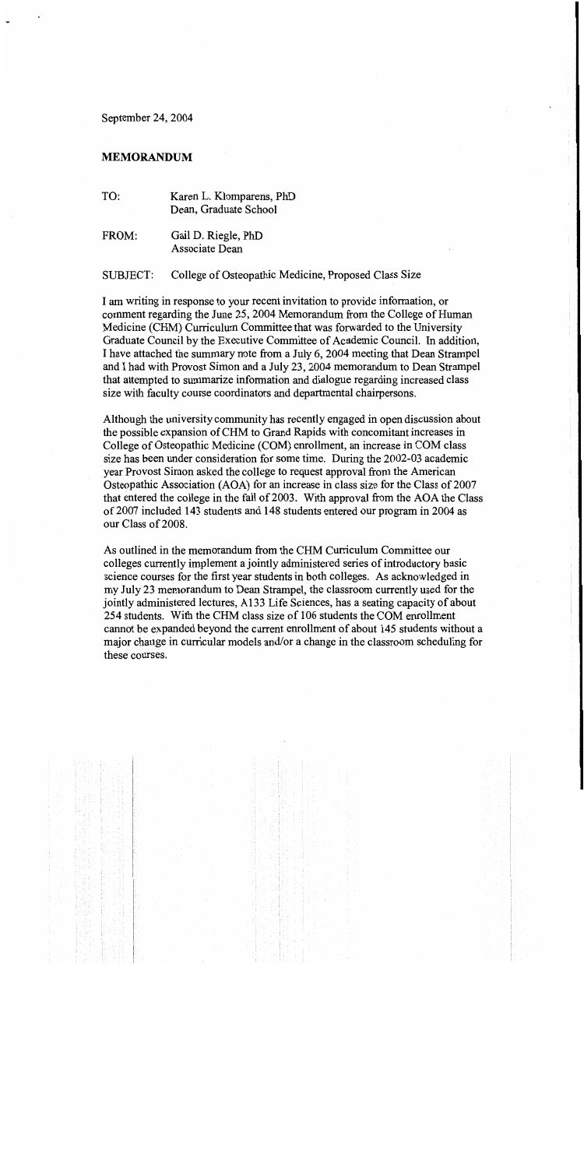September 24, 2004

## **MEMORANDUM**

- TO: Karen L. Klomparens, PhD Dean, Graduate School
- FROM: Gail D. Riegle, PhD Associate Dean

## College of Osteopathic Medicine, Proposed Class Size **SUBJECT:**

I am writing in response to your recent invitation to provide information, or comment regarding the June 25, 2004 Memorandum from the College of Human Medicine (CHM) Curriculum Committee that was forwarded to the University Graduate Council by the Executive Committee of Academic Council. In addition, I have attached the summary note from a July 6, 2004 meeting that Dean Strampel and I had with Provost Simon and a July 23, 2004 memorandum to Dean Strampel that attempted to summarize information and dialogue regarding increased class size with faculty course coordinators and departmental chairpersons.

Although the university community has recently engaged in open discussion about the possible expansion of CHM to Grand Rapids with concomitant increases in College of Osteopathic Medicine (COM) enrollment, an increase in COM class size has been under consideration for some time. During the 2002-03 academic year Provost Simon asked the college to request approval from the American Osteopathic Association (AOA) for an increase in class size for the Class of 2007 that entered the college in the fall of 2003. With approval from the AOA the Class of 2007 included 143 students and 148 students entered our program in 2004 as our Class of 2008.

As outlined in the memorandum from the CHM Curriculum Committee our colleges currently implement a jointly administered series of introductory basic science courses for the first year students in both colleges. As acknowledged in my July 23 memorandum to Dean Strampel, the classroom currently used for the jointly administered lectures, A133 Life Sciences, has a seating capacity of about 254 students. With the CHM class size of 106 students the COM enrollment cannot be expanded beyond the current enrollment of about 145 students without a major change in curricular models and/or a change in the classroom scheduling for these courses.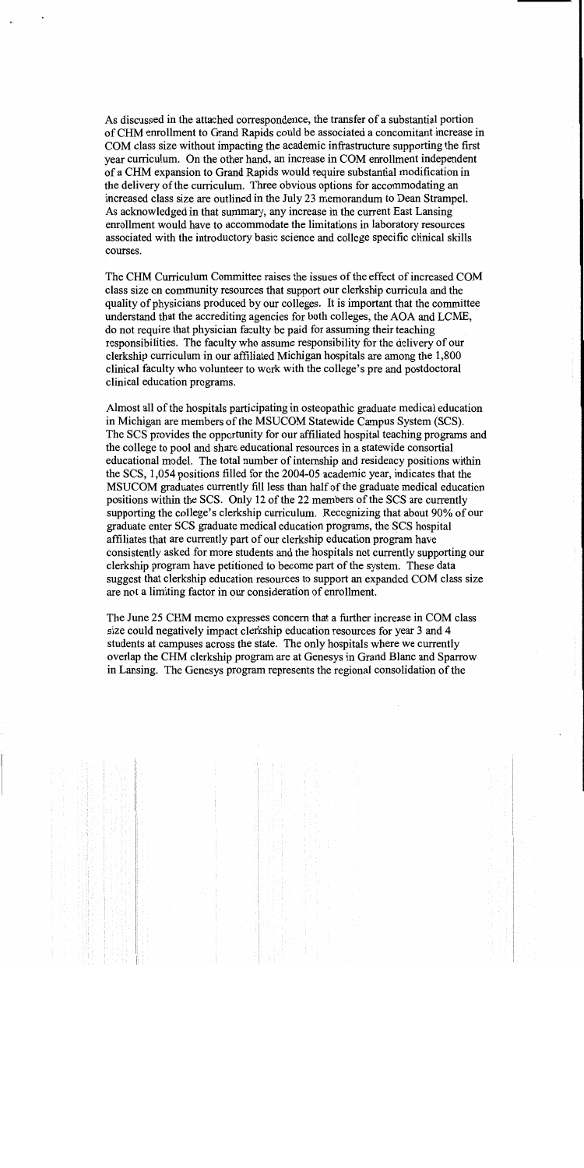As discussed in the attached correspondence, the transfer of a substantial portion of CHM enrollment to Grand Rapids could be associated a concomitant increase in COM class size without impacting the academic infrastructure supporting the first year curriculum. On the other hand, an increase in COM enrollment independent of a CHM expansion to Grand Rapids would require substantial modification in the delivery of the curriculum. Three obvious options for accommodating an increased class size are outlined in the July 23 memorandum to Dean Strampel. As acknowledged in that summary, any increase in the current East Lansing enrollment would have to accommodate the limitations in laboratory resources associated with the introductory basic science and college specific clinical skills courses.

The CHM Curriculum Committee raises the issues of the effect of increased COM class size on community resources that support our clerkship curricula and the quality of physicians produced by our colleges. It is important that the committee understand that the accrediting agencies for both colleges, the AOA and LCME, do not require that physician faculty be paid for assuming their teaching responsibilities. The faculty who assume responsibility for the delivery of our clerkship curriculum in our affiliated Michigan hospitals are among the 1,800 clinical faculty who volunteer to work with the college's pre and postdoctoral clinical education programs.

Almost all of the hospitals participating in osteopathic graduate medical education in Michigan are members of the MSUCOM Statewide Campus System (SCS). The SCS provides the opportunity for our affiliated hospital teaching programs and the college to pool and share educational resources in a statewide consortial educational model. The total number of internship and residency positions within the SCS, 1,054 positions filled for the 2004-05 academic year, indicates that the MSUCOM graduates currently fill less than half of the graduate medical education positions within the SCS. Only 12 of the 22 members of the SCS are currently supporting the college's clerkship curriculum. Recognizing that about 90% of our graduate enter SCS graduate medical education programs, the SCS hospital affiliates that are currently part of our clerkship education program have consistently asked for more students and the hospitals not currently supporting our clerkship program have petitioned to become part of the system. These data suggest that clerkship education resources to support an expanded COM class size are not a limiting factor in our consideration of enrollment.

The June 25 CHM memo expresses concern that a further increase in COM class size could negatively impact clerkship education resources for year 3 and 4 students at campuses across the state. The only hospitals where we currently overlap the CHM clerkship program are at Genesys in Grand Blanc and Sparrow in Lansing. The Genesys program represents the regional consolidation of the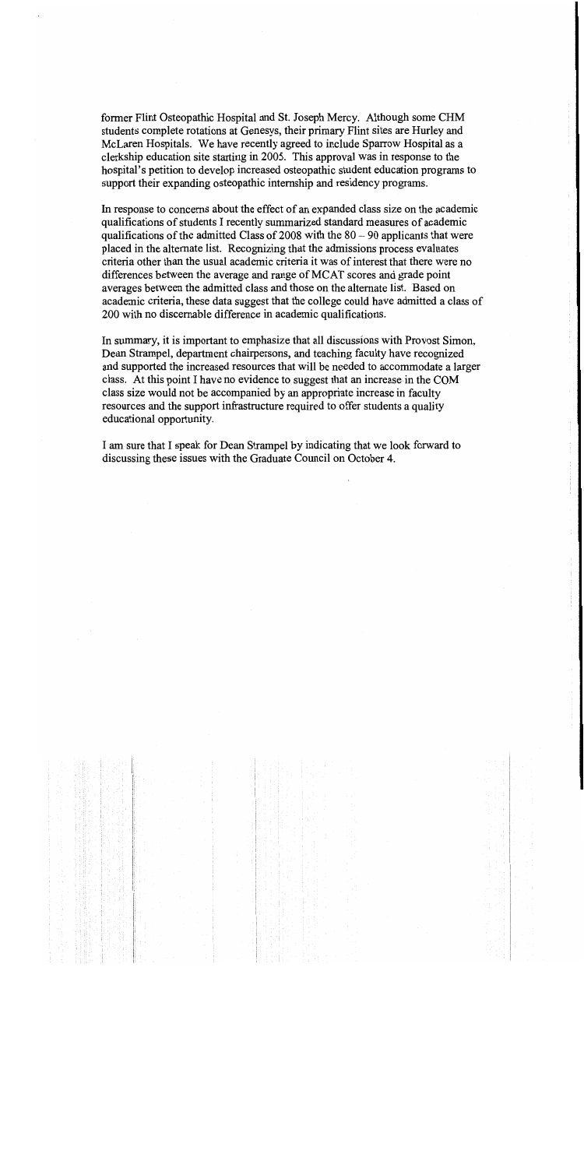former Flint Osteopathic Hospital and St. Joseph Mercy. Although some CHM students complete rotations at Genesys, their primary Flint sites are Hurley and McLaren Hospitals. We have recently agreed to include Sparrow Hospital as a clerkship education site starting in 2005. This approval was in response to the hospital's petition to develop increased osteopathic student education programs to support their expanding osteopathic internship and residency programs.

In response to concerns about the effect of an expanded class size on the academic qualifications of students I recently summarized standard measures of academic qualifications of the admitted Class of 2008 with the  $80 - 90$  applicants that were placed in the alternate list. Recognizing that the admissions process evaluates criteria other than the usual academic criteria it was of interest that there were no differences between the average and range of MCAT scores and grade point averages between the admitted class and those on the alternate list. Based on academic criteria, these data suggest that the college could have admitted a class of 200 with no discernable difference in academic qualifications.

In summary, it is important to emphasize that all discussions with Provost Simon, Dean Strampel, department chairpersons, and teaching faculty have recognized and supported the increased resources that will be needed to accommodate a larger class. At this point I have no evidence to suggest that an increase in the COM class size would not be accompanied by an appropriate increase in faculty resources and the support infrastructure required to offer students a quality educational opportunity.

I am sure that I speak for Dean Strampel by indicating that we look forward to discussing these issues with the Graduate Council on October 4.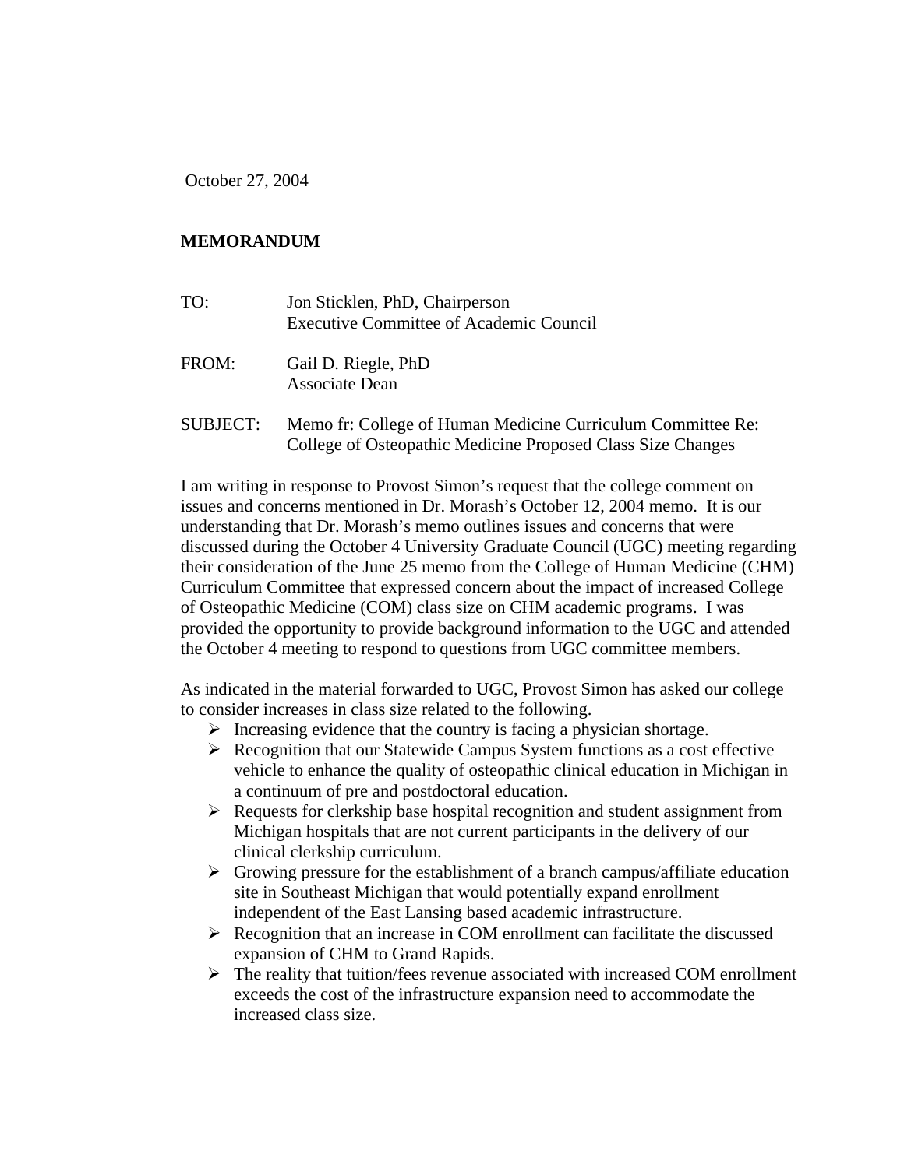October 27, 2004

## **MEMORANDUM**

| TO:      | Jon Sticklen, PhD, Chairperson<br><b>Executive Committee of Academic Council</b>                                           |
|----------|----------------------------------------------------------------------------------------------------------------------------|
| FROM:    | Gail D. Riegle, PhD<br>Associate Dean                                                                                      |
| SUBJECT: | Memo fr: College of Human Medicine Curriculum Committee Re:<br>College of Osteopathic Medicine Proposed Class Size Changes |

I am writing in response to Provost Simon's request that the college comment on issues and concerns mentioned in Dr. Morash's October 12, 2004 memo. It is our understanding that Dr. Morash's memo outlines issues and concerns that were discussed during the October 4 University Graduate Council (UGC) meeting regarding their consideration of the June 25 memo from the College of Human Medicine (CHM) Curriculum Committee that expressed concern about the impact of increased College of Osteopathic Medicine (COM) class size on CHM academic programs. I was provided the opportunity to provide background information to the UGC and attended the October 4 meeting to respond to questions from UGC committee members.

As indicated in the material forwarded to UGC, Provost Simon has asked our college to consider increases in class size related to the following.

- $\triangleright$  Increasing evidence that the country is facing a physician shortage.
- $\triangleright$  Recognition that our Statewide Campus System functions as a cost effective vehicle to enhance the quality of osteopathic clinical education in Michigan in a continuum of pre and postdoctoral education.
- $\triangleright$  Requests for clerkship base hospital recognition and student assignment from Michigan hospitals that are not current participants in the delivery of our clinical clerkship curriculum.
- $\triangleright$  Growing pressure for the establishment of a branch campus/affiliate education site in Southeast Michigan that would potentially expand enrollment independent of the East Lansing based academic infrastructure.
- $\triangleright$  Recognition that an increase in COM enrollment can facilitate the discussed expansion of CHM to Grand Rapids.
- $\triangleright$  The reality that tuition/fees revenue associated with increased COM enrollment exceeds the cost of the infrastructure expansion need to accommodate the increased class size.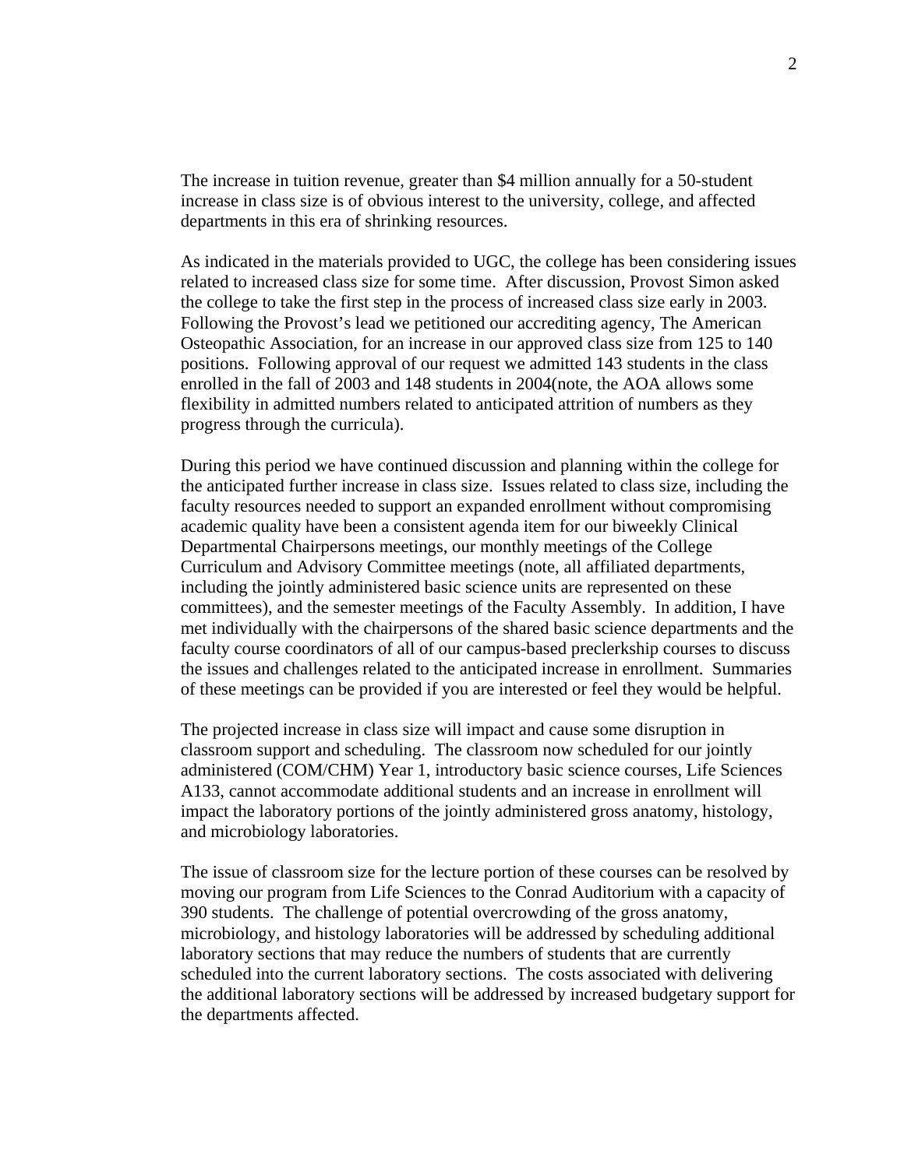The increase in tuition revenue, greater than \$4 million annually for a 50-student increase in class size is of obvious interest to the university, college, and affected departments in this era of shrinking resources.

As indicated in the materials provided to UGC, the college has been considering issues related to increased class size for some time. After discussion, Provost Simon asked the college to take the first step in the process of increased class size early in 2003. Following the Provost's lead we petitioned our accrediting agency, The American Osteopathic Association, for an increase in our approved class size from 125 to 140 positions. Following approval of our request we admitted 143 students in the class enrolled in the fall of 2003 and 148 students in 2004(note, the AOA allows some flexibility in admitted numbers related to anticipated attrition of numbers as they progress through the curricula).

During this period we have continued discussion and planning within the college for the anticipated further increase in class size. Issues related to class size, including the faculty resources needed to support an expanded enrollment without compromising academic quality have been a consistent agenda item for our biweekly Clinical Departmental Chairpersons meetings, our monthly meetings of the College Curriculum and Advisory Committee meetings (note, all affiliated departments, including the jointly administered basic science units are represented on these committees), and the semester meetings of the Faculty Assembly. In addition, I have met individually with the chairpersons of the shared basic science departments and the faculty course coordinators of all of our campus-based preclerkship courses to discuss the issues and challenges related to the anticipated increase in enrollment. Summaries of these meetings can be provided if you are interested or feel they would be helpful.

The projected increase in class size will impact and cause some disruption in classroom support and scheduling. The classroom now scheduled for our jointly administered (COM/CHM) Year 1, introductory basic science courses, Life Sciences A133, cannot accommodate additional students and an increase in enrollment will impact the laboratory portions of the jointly administered gross anatomy, histology, and microbiology laboratories.

The issue of classroom size for the lecture portion of these courses can be resolved by moving our program from Life Sciences to the Conrad Auditorium with a capacity of 390 students. The challenge of potential overcrowding of the gross anatomy, microbiology, and histology laboratories will be addressed by scheduling additional laboratory sections that may reduce the numbers of students that are currently scheduled into the current laboratory sections. The costs associated with delivering the additional laboratory sections will be addressed by increased budgetary support for the departments affected.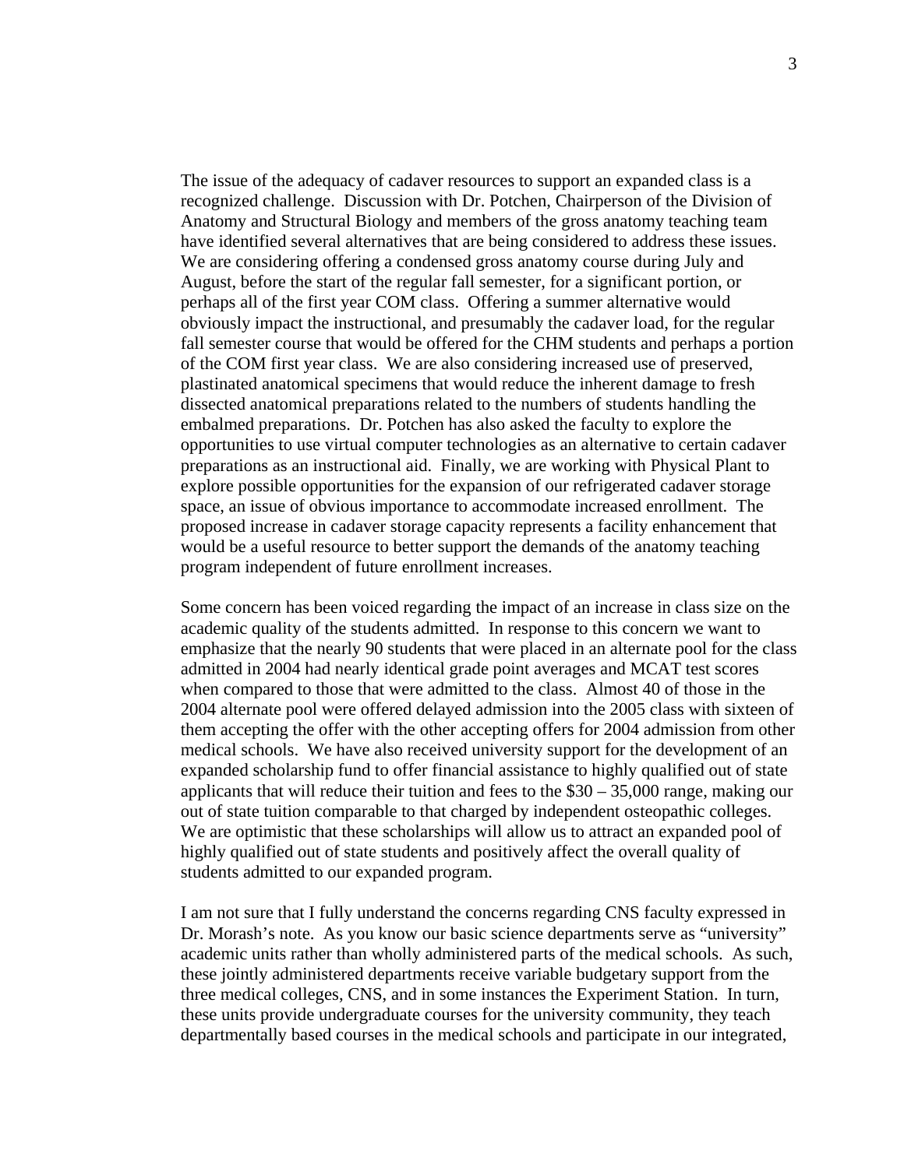The issue of the adequacy of cadaver resources to support an expanded class is a recognized challenge. Discussion with Dr. Potchen, Chairperson of the Division of Anatomy and Structural Biology and members of the gross anatomy teaching team have identified several alternatives that are being considered to address these issues. We are considering offering a condensed gross anatomy course during July and August, before the start of the regular fall semester, for a significant portion, or perhaps all of the first year COM class. Offering a summer alternative would obviously impact the instructional, and presumably the cadaver load, for the regular fall semester course that would be offered for the CHM students and perhaps a portion of the COM first year class. We are also considering increased use of preserved, plastinated anatomical specimens that would reduce the inherent damage to fresh dissected anatomical preparations related to the numbers of students handling the embalmed preparations. Dr. Potchen has also asked the faculty to explore the opportunities to use virtual computer technologies as an alternative to certain cadaver preparations as an instructional aid. Finally, we are working with Physical Plant to explore possible opportunities for the expansion of our refrigerated cadaver storage space, an issue of obvious importance to accommodate increased enrollment. The proposed increase in cadaver storage capacity represents a facility enhancement that would be a useful resource to better support the demands of the anatomy teaching program independent of future enrollment increases.

Some concern has been voiced regarding the impact of an increase in class size on the academic quality of the students admitted. In response to this concern we want to emphasize that the nearly 90 students that were placed in an alternate pool for the class admitted in 2004 had nearly identical grade point averages and MCAT test scores when compared to those that were admitted to the class. Almost 40 of those in the 2004 alternate pool were offered delayed admission into the 2005 class with sixteen of them accepting the offer with the other accepting offers for 2004 admission from other medical schools. We have also received university support for the development of an expanded scholarship fund to offer financial assistance to highly qualified out of state applicants that will reduce their tuition and fees to the  $$30 - 35,000$  range, making our out of state tuition comparable to that charged by independent osteopathic colleges. We are optimistic that these scholarships will allow us to attract an expanded pool of highly qualified out of state students and positively affect the overall quality of students admitted to our expanded program.

I am not sure that I fully understand the concerns regarding CNS faculty expressed in Dr. Morash's note. As you know our basic science departments serve as "university" academic units rather than wholly administered parts of the medical schools. As such, these jointly administered departments receive variable budgetary support from the three medical colleges, CNS, and in some instances the Experiment Station. In turn, these units provide undergraduate courses for the university community, they teach departmentally based courses in the medical schools and participate in our integrated,